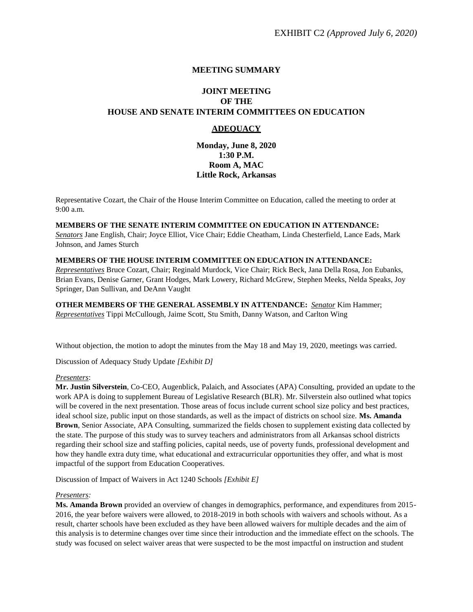# **MEETING SUMMARY**

# **JOINT MEETING OF THE HOUSE AND SENATE INTERIM COMMITTEES ON EDUCATION**

# **ADEQUACY**

**Monday, June 8, 2020 1:30 P.M. Room A, MAC Little Rock, Arkansas**

Representative Cozart, the Chair of the House Interim Committee on Education, called the meeting to order at 9:00 a.m.

### **MEMBERS OF THE SENATE INTERIM COMMITTEE ON EDUCATION IN ATTENDANCE:**

*Senators* Jane English, Chair; Joyce Elliot, Vice Chair; Eddie Cheatham, Linda Chesterfield, Lance Eads, Mark Johnson, and James Sturch

#### **MEMBERS OF THE HOUSE INTERIM COMMITTEE ON EDUCATION IN ATTENDANCE:**

*Representatives* Bruce Cozart, Chair; Reginald Murdock, Vice Chair; Rick Beck, Jana Della Rosa, Jon Eubanks, Brian Evans, Denise Garner, Grant Hodges, Mark Lowery, Richard McGrew, Stephen Meeks, Nelda Speaks, Joy Springer, Dan Sullivan, and DeAnn Vaught

**OTHER MEMBERS OF THE GENERAL ASSEMBLY IN ATTENDANCE:** *Senator* Kim Hammer; *Representatives* Tippi McCullough, Jaime Scott, Stu Smith, Danny Watson, and Carlton Wing

Without objection, the motion to adopt the minutes from the May 18 and May 19, 2020, meetings was carried.

Discussion of Adequacy Study Update *[Exhibit D]*

# *Presenters*:

**Mr. Justin Silverstein**, Co-CEO, Augenblick, Palaich, and Associates (APA) Consulting, provided an update to the work APA is doing to supplement Bureau of Legislative Research (BLR). Mr. Silverstein also outlined what topics will be covered in the next presentation. Those areas of focus include current school size policy and best practices, ideal school size, public input on those standards, as well as the impact of districts on school size. **Ms. Amanda Brown**, Senior Associate, APA Consulting, summarized the fields chosen to supplement existing data collected by the state. The purpose of this study was to survey teachers and administrators from all Arkansas school districts regarding their school size and staffing policies, capital needs, use of poverty funds, professional development and how they handle extra duty time, what educational and extracurricular opportunities they offer, and what is most impactful of the support from Education Cooperatives.

Discussion of Impact of Waivers in Act 1240 Schools *[Exhibit E]*

# *Presenters:*

**Ms. Amanda Brown** provided an overview of changes in demographics, performance, and expenditures from 2015- 2016, the year before waivers were allowed, to 2018-2019 in both schools with waivers and schools without. As a result, charter schools have been excluded as they have been allowed waivers for multiple decades and the aim of this analysis is to determine changes over time since their introduction and the immediate effect on the schools. The study was focused on select waiver areas that were suspected to be the most impactful on instruction and student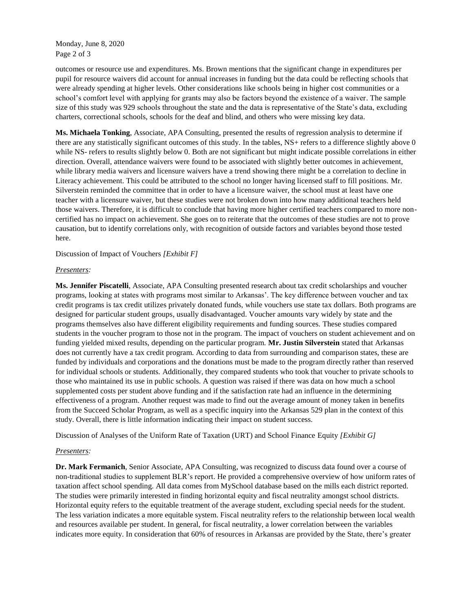Monday, June 8, 2020 Page 2 of 3

outcomes or resource use and expenditures. Ms. Brown mentions that the significant change in expenditures per pupil for resource waivers did account for annual increases in funding but the data could be reflecting schools that were already spending at higher levels. Other considerations like schools being in higher cost communities or a school's comfort level with applying for grants may also be factors beyond the existence of a waiver. The sample size of this study was 929 schools throughout the state and the data is representative of the State's data, excluding charters, correctional schools, schools for the deaf and blind, and others who were missing key data.

**Ms. Michaela Tonking**, Associate, APA Consulting, presented the results of regression analysis to determine if there are any statistically significant outcomes of this study. In the tables, NS+ refers to a difference slightly above 0 while NS- refers to results slightly below 0. Both are not significant but might indicate possible correlations in either direction. Overall, attendance waivers were found to be associated with slightly better outcomes in achievement, while library media waivers and licensure waivers have a trend showing there might be a correlation to decline in Literacy achievement. This could be attributed to the school no longer having licensed staff to fill positions. Mr. Silverstein reminded the committee that in order to have a licensure waiver, the school must at least have one teacher with a licensure waiver, but these studies were not broken down into how many additional teachers held those waivers. Therefore, it is difficult to conclude that having more higher certified teachers compared to more noncertified has no impact on achievement. She goes on to reiterate that the outcomes of these studies are not to prove causation, but to identify correlations only, with recognition of outside factors and variables beyond those tested here.

Discussion of Impact of Vouchers *[Exhibit F]*

#### *Presenters:*

**Ms. Jennifer Piscatelli**, Associate, APA Consulting presented research about tax credit scholarships and voucher programs, looking at states with programs most similar to Arkansas'. The key difference between voucher and tax credit programs is tax credit utilizes privately donated funds, while vouchers use state tax dollars. Both programs are designed for particular student groups, usually disadvantaged. Voucher amounts vary widely by state and the programs themselves also have different eligibility requirements and funding sources. These studies compared students in the voucher program to those not in the program. The impact of vouchers on student achievement and on funding yielded mixed results, depending on the particular program. **Mr. Justin Silverstein** stated that Arkansas does not currently have a tax credit program. According to data from surrounding and comparison states, these are funded by individuals and corporations and the donations must be made to the program directly rather than reserved for individual schools or students. Additionally, they compared students who took that voucher to private schools to those who maintained its use in public schools. A question was raised if there was data on how much a school supplemented costs per student above funding and if the satisfaction rate had an influence in the determining effectiveness of a program. Another request was made to find out the average amount of money taken in benefits from the Succeed Scholar Program, as well as a specific inquiry into the Arkansas 529 plan in the context of this study. Overall, there is little information indicating their impact on student success.

Discussion of Analyses of the Uniform Rate of Taxation (URT) and School Finance Equity *[Exhibit G]*

# *Presenters:*

**Dr. Mark Fermanich**, Senior Associate, APA Consulting, was recognized to discuss data found over a course of non-traditional studies to supplement BLR's report. He provided a comprehensive overview of how uniform rates of taxation affect school spending. All data comes from MySchool database based on the mills each district reported. The studies were primarily interested in finding horizontal equity and fiscal neutrality amongst school districts. Horizontal equity refers to the equitable treatment of the average student, excluding special needs for the student. The less variation indicates a more equitable system. Fiscal neutrality refers to the relationship between local wealth and resources available per student. In general, for fiscal neutrality, a lower correlation between the variables indicates more equity. In consideration that 60% of resources in Arkansas are provided by the State, there's greater